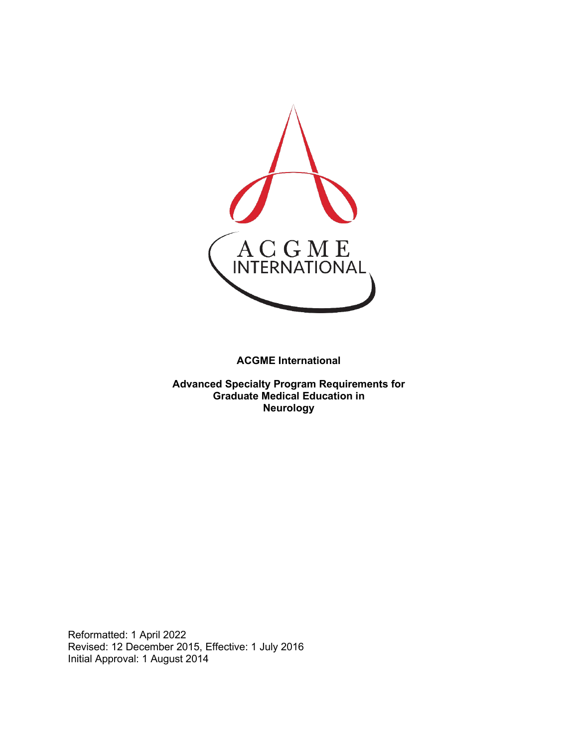

**ACGME International** 

**Advanced Specialty Program Requirements for Graduate Medical Education in Neurology**

Reformatted: 1 April 2022 Revised: 12 December 2015, Effective: 1 July 2016 Initial Approval: 1 August 2014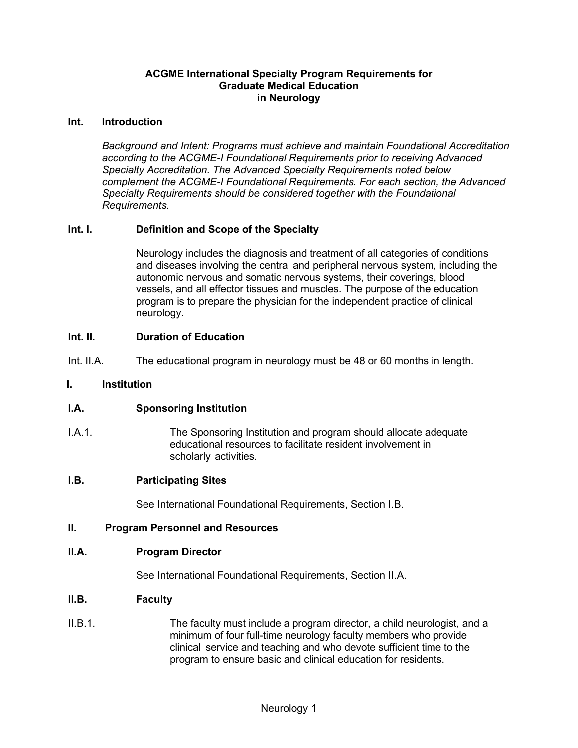### **ACGME International Specialty Program Requirements for Graduate Medical Education in Neurology**

#### **Int. Introduction**

*Background and Intent: Programs must achieve and maintain Foundational Accreditation according to the ACGME-I Foundational Requirements prior to receiving Advanced Specialty Accreditation. The Advanced Specialty Requirements noted below complement the ACGME-I Foundational Requirements. For each section, the Advanced Specialty Requirements should be considered together with the Foundational Requirements.*

### **Int. I. Definition and Scope of the Specialty**

Neurology includes the diagnosis and treatment of all categories of conditions and diseases involving the central and peripheral nervous system, including the autonomic nervous and somatic nervous systems, their coverings, blood vessels, and all effector tissues and muscles. The purpose of the education program is to prepare the physician for the independent practice of clinical neurology.

#### **Int. II. Duration of Education**

Int. II.A. The educational program in neurology must be 48 or 60 months in length.

#### **I. Institution**

#### **I.A. Sponsoring Institution**

I.A.1. The Sponsoring Institution and program should allocate adequate educational resources to facilitate resident involvement in scholarly activities.

#### **I.B. Participating Sites**

See International Foundational Requirements, Section I.B.

#### **II. Program Personnel and Resources**

#### **II.A. Program Director**

See International Foundational Requirements, Section II.A.

#### **II.B. Faculty**

II.B.1. The faculty must include a program director, a child neurologist, and a minimum of four full-time neurology faculty members who provide clinical service and teaching and who devote sufficient time to the program to ensure basic and clinical education for residents.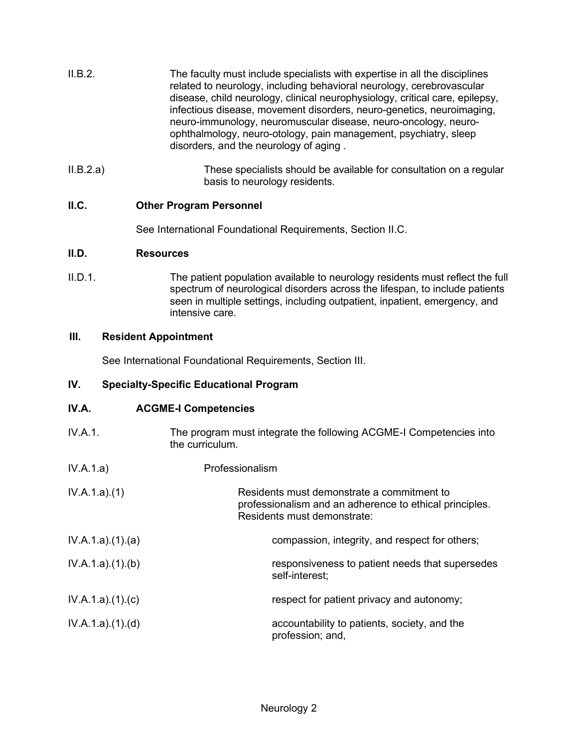| II.B.2. | The faculty must include specialists with expertise in all the disciplines<br>related to neurology, including behavioral neurology, cerebrovascular<br>disease, child neurology, clinical neurophysiology, critical care, epilepsy,<br>infectious disease, movement disorders, neuro-genetics, neuroimaging,<br>neuro-immunology, neuromuscular disease, neuro-oncology, neuro-<br>ophthalmology, neuro-otology, pain management, psychiatry, sleep<br>disorders, and the neurology of aging. |
|---------|-----------------------------------------------------------------------------------------------------------------------------------------------------------------------------------------------------------------------------------------------------------------------------------------------------------------------------------------------------------------------------------------------------------------------------------------------------------------------------------------------|
|         |                                                                                                                                                                                                                                                                                                                                                                                                                                                                                               |

II.B.2.a) These specialists should be available for consultation on a regular basis to neurology residents.

# **II.C. Other Program Personnel**

See International Foundational Requirements, Section II.C.

## **II.D. Resources**

II.D.1. The patient population available to neurology residents must reflect the full spectrum of neurological disorders across the lifespan, to include patients seen in multiple settings, including outpatient, inpatient, emergency, and intensive care.

## **III. Resident Appointment**

See International Foundational Requirements, Section III.

## **IV. Specialty-Specific Educational Program**

## **IV.A. ACGME-I Competencies**

- IV.A.1. The program must integrate the following ACGME-I Competencies into the curriculum.
- IV.A.1.a) Professionalism

| IV.A.1.a)(1) | Residents must demonstrate a commitment to              |
|--------------|---------------------------------------------------------|
|              | professionalism and an adherence to ethical principles. |
|              | Residents must demonstrate:                             |
|              |                                                         |

IV.A.1.a).(1).(a) compassion, integrity, and respect for others; IV.A.1.a).(1).(b) responsiveness to patient needs that supersedes self-interest;

IV.A.1.a).(1).(c) respect for patient privacy and autonomy;

IV.A.1.a).(1).(d) accountability to patients, society, and the profession; and,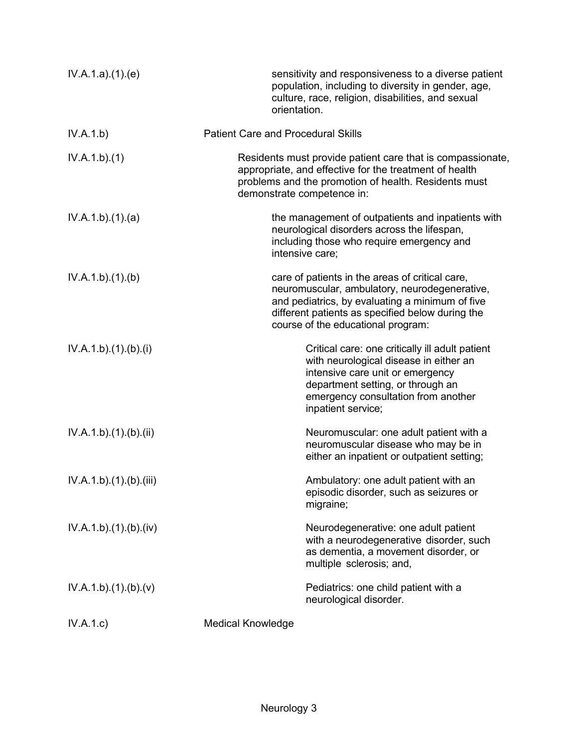| IV.A.1.a)(1)(e)      | orientation.                              | sensitivity and responsiveness to a diverse patient<br>population, including to diversity in gender, age,<br>culture, race, religion, disabilities, and sexual                                                                                |
|----------------------|-------------------------------------------|-----------------------------------------------------------------------------------------------------------------------------------------------------------------------------------------------------------------------------------------------|
| IV.A.1.b)            | <b>Patient Care and Procedural Skills</b> |                                                                                                                                                                                                                                               |
| IV.A.1.b)(1)         |                                           | Residents must provide patient care that is compassionate,<br>appropriate, and effective for the treatment of health<br>problems and the promotion of health. Residents must<br>demonstrate competence in:                                    |
| IV.A.1.b)(1)(a)      |                                           | the management of outpatients and inpatients with<br>neurological disorders across the lifespan,<br>including those who require emergency and<br>intensive care;                                                                              |
| IV.A.1.b)(1)(b)      |                                           | care of patients in the areas of critical care,<br>neuromuscular, ambulatory, neurodegenerative,<br>and pediatrics, by evaluating a minimum of five<br>different patients as specified below during the<br>course of the educational program: |
| IV.A.1.b)(1)(b)(i)   |                                           | Critical care: one critically ill adult patient<br>with neurological disease in either an<br>intensive care unit or emergency<br>department setting, or through an<br>emergency consultation from another<br>inpatient service;               |
| IV.A.1.b)(1)(b)(ii)  |                                           | Neuromuscular: one adult patient with a<br>neuromuscular disease who may be in<br>either an inpatient or outpatient setting;                                                                                                                  |
| IV.A.1.b)(1)(b)(iii) |                                           | Ambulatory: one adult patient with an<br>episodic disorder, such as seizures or<br>migraine;                                                                                                                                                  |
| IV.A.1.b)(1)(b)(iv)  |                                           | Neurodegenerative: one adult patient<br>with a neurodegenerative disorder, such<br>as dementia, a movement disorder, or<br>multiple sclerosis; and,                                                                                           |
| IV.A.1.b)(1)(b)(v)   |                                           | Pediatrics: one child patient with a<br>neurological disorder.                                                                                                                                                                                |
| IV.A.1.c)            | <b>Medical Knowledge</b>                  |                                                                                                                                                                                                                                               |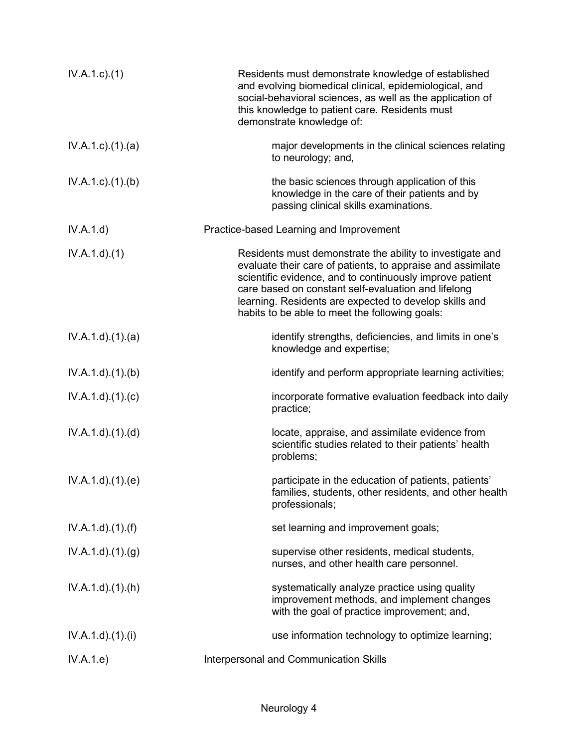| $IV.A.1.c.$ (1)           | Residents must demonstrate knowledge of established<br>and evolving biomedical clinical, epidemiological, and<br>social-behavioral sciences, as well as the application of<br>this knowledge to patient care. Residents must<br>demonstrate knowledge of:                                                                                               |
|---------------------------|---------------------------------------------------------------------------------------------------------------------------------------------------------------------------------------------------------------------------------------------------------------------------------------------------------------------------------------------------------|
| $IV.A.1.c$ . $(1).$ $(a)$ | major developments in the clinical sciences relating<br>to neurology; and,                                                                                                                                                                                                                                                                              |
| $IV.A.1.c$ . $(1).$ (b)   | the basic sciences through application of this<br>knowledge in the care of their patients and by<br>passing clinical skills examinations.                                                                                                                                                                                                               |
| IV.A.1.d)                 | Practice-based Learning and Improvement                                                                                                                                                                                                                                                                                                                 |
| IV.A.1.d.(1)              | Residents must demonstrate the ability to investigate and<br>evaluate their care of patients, to appraise and assimilate<br>scientific evidence, and to continuously improve patient<br>care based on constant self-evaluation and lifelong<br>learning. Residents are expected to develop skills and<br>habits to be able to meet the following goals: |
| IV.A.1.d)(1)(a)           | identify strengths, deficiencies, and limits in one's<br>knowledge and expertise;                                                                                                                                                                                                                                                                       |
| IV.A.1.d.(1)(b)           | identify and perform appropriate learning activities;                                                                                                                                                                                                                                                                                                   |
| IV.A.1.d)(1)(c)           | incorporate formative evaluation feedback into daily<br>practice;                                                                                                                                                                                                                                                                                       |
| IV.A.1.d)(1)(d)           | locate, appraise, and assimilate evidence from<br>scientific studies related to their patients' health<br>problems;                                                                                                                                                                                                                                     |
| IV.A.1.d)(1)(e)           | participate in the education of patients, patients'<br>families, students, other residents, and other health<br>professionals;                                                                                                                                                                                                                          |
| $IV.A.1.d$ . $(1).(f)$    | set learning and improvement goals;                                                                                                                                                                                                                                                                                                                     |
| IV.A.1.d)(1.(g))          | supervise other residents, medical students,<br>nurses, and other health care personnel.                                                                                                                                                                                                                                                                |
| IV.A.1.d).(1).(h)         | systematically analyze practice using quality<br>improvement methods, and implement changes<br>with the goal of practice improvement; and,                                                                                                                                                                                                              |
| IV.A.1.d)(1)(i)           | use information technology to optimize learning;                                                                                                                                                                                                                                                                                                        |
| IV.A.1.e)                 | Interpersonal and Communication Skills                                                                                                                                                                                                                                                                                                                  |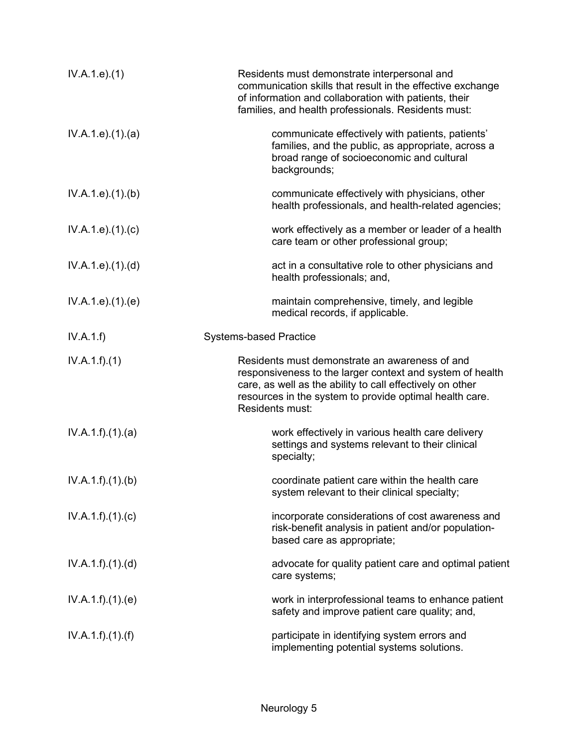| IV.A.1.e. (1)      | Residents must demonstrate interpersonal and<br>communication skills that result in the effective exchange<br>of information and collaboration with patients, their<br>families, and health professionals. Residents must:                             |
|--------------------|--------------------------------------------------------------------------------------------------------------------------------------------------------------------------------------------------------------------------------------------------------|
| IV.A.1.e. (1). (a) | communicate effectively with patients, patients'<br>families, and the public, as appropriate, across a<br>broad range of socioeconomic and cultural<br>backgrounds;                                                                                    |
| IV.A.1.e. (1)(b)   | communicate effectively with physicians, other<br>health professionals, and health-related agencies;                                                                                                                                                   |
| IV.A.1.e. (1). (c) | work effectively as a member or leader of a health<br>care team or other professional group;                                                                                                                                                           |
| IV.A.1.e. (1). (d) | act in a consultative role to other physicians and<br>health professionals; and,                                                                                                                                                                       |
| IV.A.1.e. (1). (e) | maintain comprehensive, timely, and legible<br>medical records, if applicable.                                                                                                                                                                         |
| IV.A.1.f)          | <b>Systems-based Practice</b>                                                                                                                                                                                                                          |
| IV.A.1.f)(1)       | Residents must demonstrate an awareness of and<br>responsiveness to the larger context and system of health<br>care, as well as the ability to call effectively on other<br>resources in the system to provide optimal health care.<br>Residents must: |
| IV.A.1.f)(1)(a)    | work effectively in various health care delivery<br>settings and systems relevant to their clinical<br>specialty;                                                                                                                                      |
| IV.A.1.f)(1)(b)    | coordinate patient care within the health care<br>system relevant to their clinical specialty;                                                                                                                                                         |
| IV.A.1.f)(1)(c)    | incorporate considerations of cost awareness and<br>risk-benefit analysis in patient and/or population-<br>based care as appropriate;                                                                                                                  |
| IV.A.1.f)(1)(d)    | advocate for quality patient care and optimal patient<br>care systems;                                                                                                                                                                                 |
| IV.A.1.f)(1)(e)    | work in interprofessional teams to enhance patient<br>safety and improve patient care quality; and,                                                                                                                                                    |
| IV.A.1.f)(1)(f)    | participate in identifying system errors and<br>implementing potential systems solutions.                                                                                                                                                              |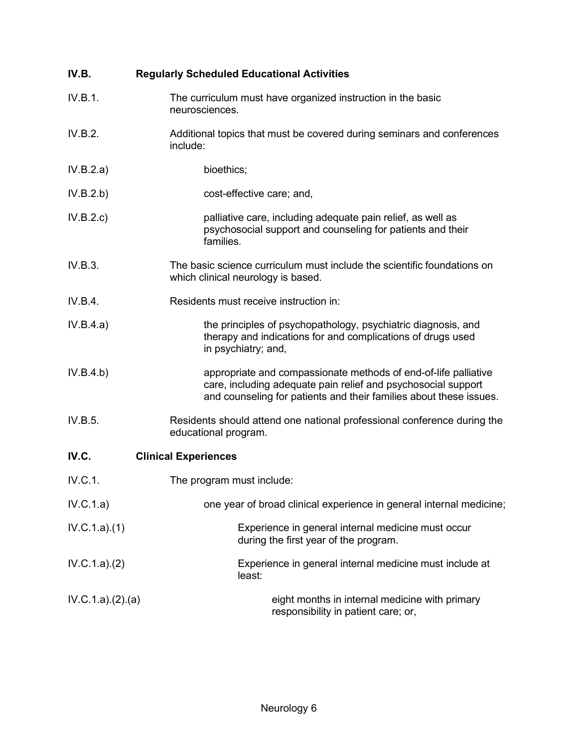| IV.B.            | <b>Regularly Scheduled Educational Activities</b>                                                                                                                                                      |
|------------------|--------------------------------------------------------------------------------------------------------------------------------------------------------------------------------------------------------|
| IV.B.1.          | The curriculum must have organized instruction in the basic<br>neurosciences.                                                                                                                          |
| IV.B.2.          | Additional topics that must be covered during seminars and conferences<br>include:                                                                                                                     |
| IV.B.2.a)        | bioethics;                                                                                                                                                                                             |
| IV.B.2.b)        | cost-effective care; and,                                                                                                                                                                              |
| IV.B.2.c)        | palliative care, including adequate pain relief, as well as<br>psychosocial support and counseling for patients and their<br>families.                                                                 |
| IV.B.3.          | The basic science curriculum must include the scientific foundations on<br>which clinical neurology is based.                                                                                          |
| IV.B.4.          | Residents must receive instruction in:                                                                                                                                                                 |
| IV.B.4.a)        | the principles of psychopathology, psychiatric diagnosis, and<br>therapy and indications for and complications of drugs used<br>in psychiatry; and,                                                    |
| IV.B.4.b)        | appropriate and compassionate methods of end-of-life palliative<br>care, including adequate pain relief and psychosocial support<br>and counseling for patients and their families about these issues. |
| IV.B.5.          | Residents should attend one national professional conference during the<br>educational program.                                                                                                        |
| IV.C.            | <b>Clinical Experiences</b>                                                                                                                                                                            |
| IV.C.1.          | The program must include:                                                                                                                                                                              |
| IV.C.1.a)        | one year of broad clinical experience in general internal medicine;                                                                                                                                    |
| IV.C.1.a)(1)     | Experience in general internal medicine must occur<br>during the first year of the program.                                                                                                            |
| IV.C.1.a)(2)     | Experience in general internal medicine must include at<br>least:                                                                                                                                      |
| IV.C.1.a)(2).(a) | eight months in internal medicine with primary<br>responsibility in patient care; or,                                                                                                                  |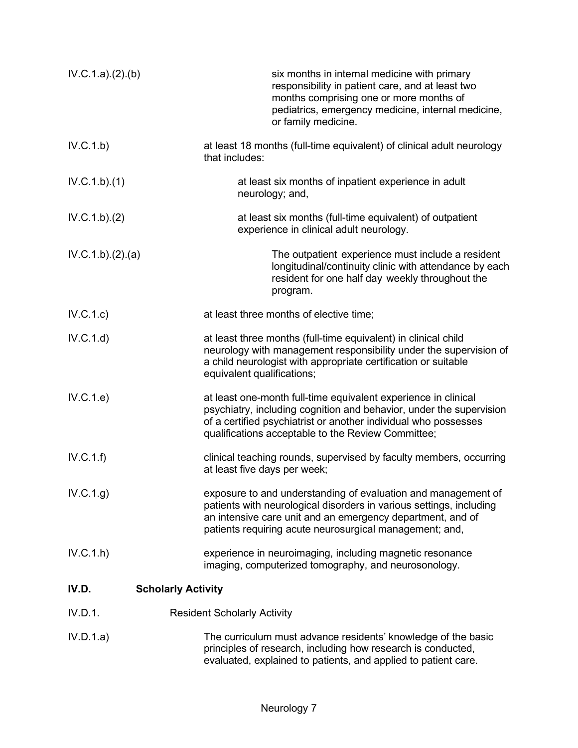| IV.C.1.a)(2)(b)  | six months in internal medicine with primary<br>responsibility in patient care, and at least two<br>months comprising one or more months of<br>pediatrics, emergency medicine, internal medicine,<br>or family medicine.                                       |
|------------------|----------------------------------------------------------------------------------------------------------------------------------------------------------------------------------------------------------------------------------------------------------------|
| IV.C.1.b)        | at least 18 months (full-time equivalent) of clinical adult neurology<br>that includes:                                                                                                                                                                        |
| IV.C.1.b)(1)     | at least six months of inpatient experience in adult<br>neurology; and,                                                                                                                                                                                        |
| IV.C.1.b)(2)     | at least six months (full-time equivalent) of outpatient<br>experience in clinical adult neurology.                                                                                                                                                            |
| IV.C.1.b)(2).(a) | The outpatient experience must include a resident<br>longitudinal/continuity clinic with attendance by each<br>resident for one half day weekly throughout the<br>program.                                                                                     |
| IV.C.1.c)        | at least three months of elective time;                                                                                                                                                                                                                        |
| IV.C.1.d)        | at least three months (full-time equivalent) in clinical child<br>neurology with management responsibility under the supervision of<br>a child neurologist with appropriate certification or suitable<br>equivalent qualifications;                            |
| IV.C.1.e)        | at least one-month full-time equivalent experience in clinical<br>psychiatry, including cognition and behavior, under the supervision<br>of a certified psychiatrist or another individual who possesses<br>qualifications acceptable to the Review Committee; |
| IV.C.1.f)        | clinical teaching rounds, supervised by faculty members, occurring<br>at least five days per week;                                                                                                                                                             |
| IV.C.1.g)        | exposure to and understanding of evaluation and management of<br>patients with neurological disorders in various settings, including<br>an intensive care unit and an emergency department, and of<br>patients requiring acute neurosurgical management; and,  |
| IV.C.1.h         | experience in neuroimaging, including magnetic resonance<br>imaging, computerized tomography, and neurosonology.                                                                                                                                               |
| IV.D.            | <b>Scholarly Activity</b>                                                                                                                                                                                                                                      |
| IV.D.1.          | <b>Resident Scholarly Activity</b>                                                                                                                                                                                                                             |
| IV.D.1.a)        | The curriculum must advance residents' knowledge of the basic<br>principles of research, including how research is conducted,<br>evaluated, explained to patients, and applied to patient care.                                                                |